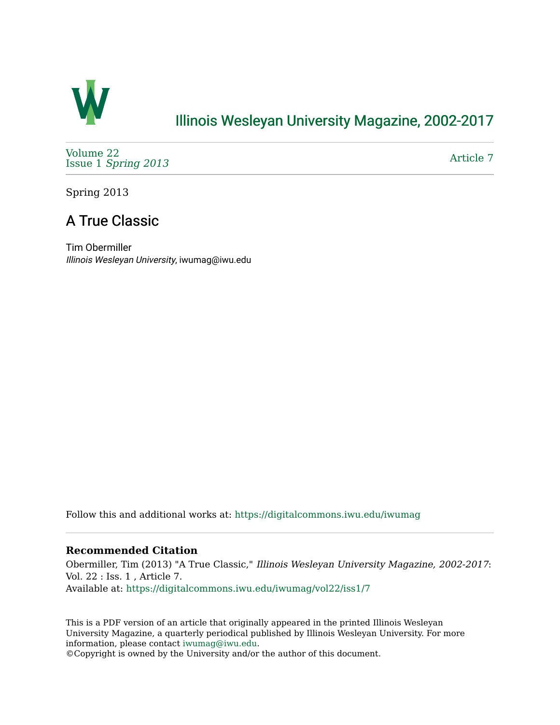

## [Illinois Wesleyan University Magazine, 2002-2017](https://digitalcommons.iwu.edu/iwumag)

[Volume 22](https://digitalcommons.iwu.edu/iwumag/vol22)  Issue 1 [Spring 2013](https://digitalcommons.iwu.edu/iwumag/vol22/iss1)

[Article 7](https://digitalcommons.iwu.edu/iwumag/vol22/iss1/7) 

Spring 2013

# A True Classic

Tim Obermiller Illinois Wesleyan University, iwumag@iwu.edu

Follow this and additional works at: [https://digitalcommons.iwu.edu/iwumag](https://digitalcommons.iwu.edu/iwumag?utm_source=digitalcommons.iwu.edu%2Fiwumag%2Fvol22%2Fiss1%2F7&utm_medium=PDF&utm_campaign=PDFCoverPages) 

### **Recommended Citation**

Obermiller, Tim (2013) "A True Classic," Illinois Wesleyan University Magazine, 2002-2017: Vol. 22 : Iss. 1 , Article 7. Available at: [https://digitalcommons.iwu.edu/iwumag/vol22/iss1/7](https://digitalcommons.iwu.edu/iwumag/vol22/iss1/7?utm_source=digitalcommons.iwu.edu%2Fiwumag%2Fvol22%2Fiss1%2F7&utm_medium=PDF&utm_campaign=PDFCoverPages)

This is a PDF version of an article that originally appeared in the printed Illinois Wesleyan University Magazine, a quarterly periodical published by Illinois Wesleyan University. For more information, please contact [iwumag@iwu.edu](mailto:iwumag@iwu.edu).

©Copyright is owned by the University and/or the author of this document.